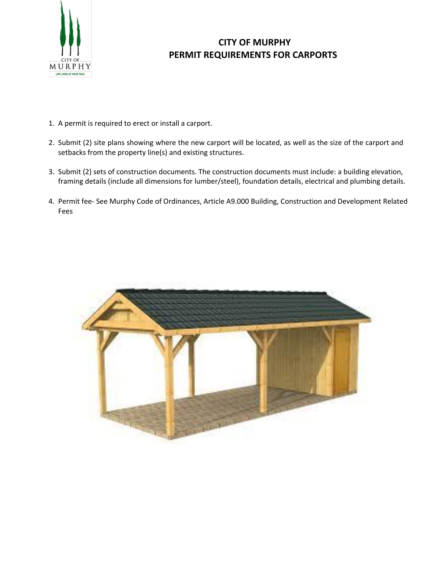

## **CITY OF MURPHY PERMIT REQUIREMENTS FOR CARPORTS**

- 1. A permit is required to erect or install a carport.
- 2. Submit (2) site plans showing where the new carport will be located, as well as the size of the carport and setbacks from the property line(s) and existing structures.
- 3. Submit (2) sets of construction documents. The construction documents must include: a building elevation, framing details (include all dimensions for lumber/steel), foundation details, electrical and plumbing details.
- 4. Permit fee- See Murphy Code of Ordinances, Article A9.000 Building, Construction and Development Related Fees